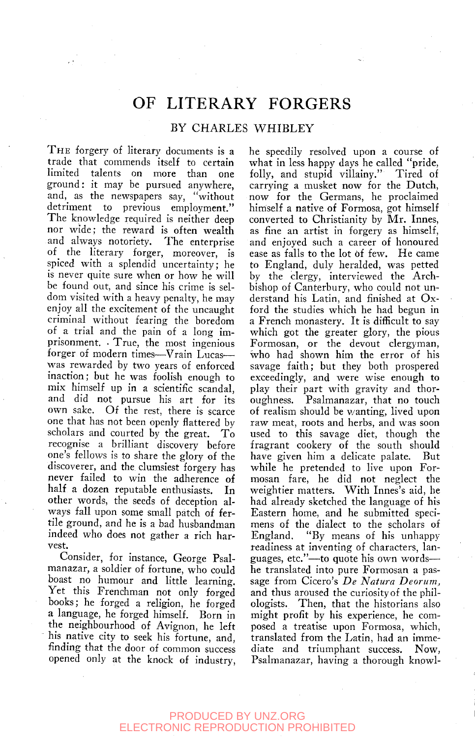# OF LITERARY FORGERS

#### BY CHARLES WHIBLEY

THE forgery of literary documents is a trade that commends itself to certain limited talents on more than one ground: it may be pursued anywhere, and, as the newspapers say, "without detriment to previous employment." The knowledge required is neither deep nor wide; the reward is often wealth and always notoriety. The enterprise of the literary forger, moreover, is spiced with a splendid uncertainty; he is never quite sure when or how he will be found out, and since his crime is seldom visited with a heavy penalty, he may enjoy all the excitement of the uncaught criminal without fearing the boredom of a trial and the pain of a long imprisonment. • True, the most ingenious forger of modern times—Vrain Lucas was rewarded by two years of enforced inaction; but he was foolish enough to mix himself up in a scientific scandal, and did not pursue his art for its own sake. Of the rest, there is scarce one that has not been openly flattered by scholars and courted by the great. To recognise a brilliant discovery before one's fellows is to share the glory of the discoverer, and the clumsiest forgery has never failed to win the adherence of half a dozen reputable enthusiasts. In other words, the seeds of deception always fall upon some small patch of fertile ground, and he is a bad husbandman indeed who does not gather a rich harvest.

Consider, for instance, George Psalmanazar, a soldier of fortune, who could boast no humour and little learning. Yet this Frenchman not only forged books; he forged a religion, he forged a language, he forged himself. Born in the neighbourhood of Avignon, he left his native city to seek his fortune, and, finding that the door of common success opened only at the knock of industry, he speedily resolved upon a course of what in less happy days he called "pride, folly, and stupid villainy." Tired of carrying a musket now for the Dutch, now for the Germans, he proclaimed himself a native of Formosa, got himself converted to Christianity by Mr. Innes, as fine an artist in forgery as himself, and enjoyed such a career of honoured ease as falls to the lot of few. He came to England, duly heralded, was petted by the clergy, interviewed the Archbishop of Canterbury, who could not understand his Latin, and finished at Oxford the studies which he had begun in a French monastery. It is difficult to say which got the greater glory, the pious Formosan, or the devout clergyman, who had shown him the error of his savage faith; but they both prospered exceedingly, and were wise enough to play their part with gravity and thoroughness. Psalmanazar, that no touch of realism should be wanting, lived upon raw meat, roots and herbs, and was soon used to this savage diet, though the fragrant cookery of the south should have given him a delicate palate. But while he pretended to live upon Formosan fare, he did not neglect the weightier matters. With Innes's aid, he had already sketched the language of his Eastern home, and he submitted specimens of the dialect to the scholars of England. "By means of his unhappy readiness at inventing of characters, languages, etc."—to quote his own words he translated into pure Formosan a passage from Cicero's *De Natura Deorum,*  and thus aroused the curiosity of the philologists. Then, that the historians also might profit by his experience, he composed a treatise upon Formosa, which, translated from the Latin, had an immediate and triumphant success. Now, Psalmanazar, having a thorough knowl-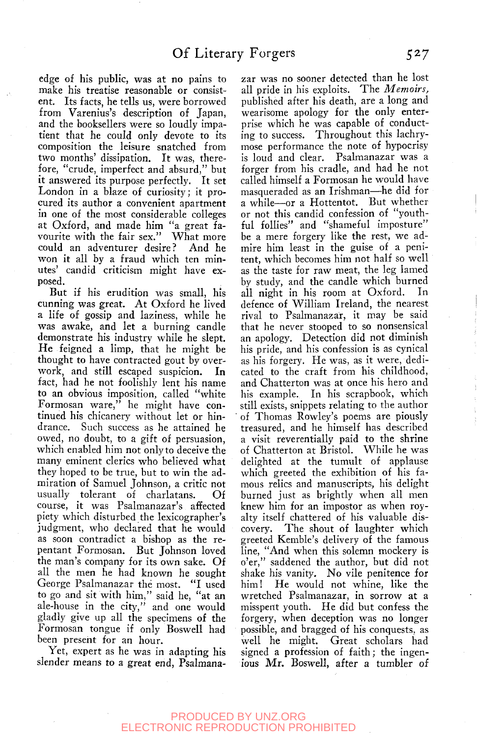edge of his public, was at no pains to make his treatise reasonable or consistent. Its facts, he tells us, were borrowed from Varenius's description of Japan, and the booksellers were so loudly impatient that he could only devote to its composition the leisure snatched from two months' dissipation. It was, therefore, "crude, imperfect and absurd," but it answered its purpose perfectly. It set London in a blaze of curiosity; it procured its author a convenient apartment in one of the most considerable colleges at Oxford, and made him "a great favourite with the fair sex." What more could an adventurer desire? And he won it all by a fraud which ten minutes' candid criticism might have exposed.

But if his erudition was small, his cunning was great. At Oxford he lived a life of gossip and laziness, while he was awake, and let a burning candle demonstrate his industry while he slept. He feigned a limp, that he might be thought to have contracted gout by overwork, and still escaped suspicion. In fact, had he not foolishly lent his name to an obvious imposition, called "white Formosan ware," he might have continued his chicanery without let or hindrance. Such success as he attained he owed, no doubt, to a gift of persuasion, which enabled him not only to deceive the many eminent clerics who believed what they hoped to be true, but to win the admiration of Samuel Johnson, a critic not usually tolerant of charlatans. Of course, it was Psalmanazar's affected piety which disturbed the lexicographer's judgment, who declared that he would as soon contradict a bishop as the repentant Formosan. But Johnson loved the man's company for its own sake. Of all the men he had known he sought George Psalmanazar the most. "I used to go and sit with him," said he, "at an ale-house in the city," and one would gladly give up all the specimens of the Formosan tongue if only Boswell had been present for an hour.

Yet, expert as he was in adapting his slender means to a great end, Psalmana-

zar was no sooner detected than he lost all pride in his exploits. The *Memoirs*, published after his death, are a long and wearisome apology for the only enterprise which he was capable of conducting to success. Throughout this lachrymose performance the note of hypocrisy is loud and clear. Psalmanazar was a forger from his cradle, and had he not called himself a Formosan he would have masqueraded as an Irishman—he did for a while—or a Hottentot. But whether or not this candid confession of "youthful follies" and "shameful imposture" be a mere forgery like the rest, we admire him least in the guise of a penitent, which becomes him not half so well as the taste for raw meat, the leg lamed by study, and the candle which burned all night in his room at Oxford. In defence of William Ireland, the nearest rival to Psalmanazar, it may be said that he never stooped to so nonsensical an apology. Detection did not diminish his pride, and his confession is as cynical as his forgery. He was, as it were, dedicated to the craft from his childhood, and Chatterton was at once his hero and his example. In his scrapbook, which still exists, snippets relating to the author of Thomas Rowley's poems are piously treasured, and he himself has described a visit reverentially paid to the shrine of Chatterton at Bristol. While he was delighted at the tumult of applause which greeted the exhibition of his famous relics and manuscripts, his delight burned just as brightly when all men knew him for an impostor as when royalty itself chattered of his valuable discovery. The shout of laughter which greeted Kemble's delivery of the famous line, "And when this solemn mockery is o'er," saddened the author, but did not shake his vanity. No vile penitence for him! He would not whine, like the wretched Psalmanazar, in sorrow at a misspent youth. He did but confess the forgery, when deception was no longer possible, and bragged of his conquests, as well he might. Great scholars had signed a profession of faith; the ingenious Mr. Boswell, after a tumbler of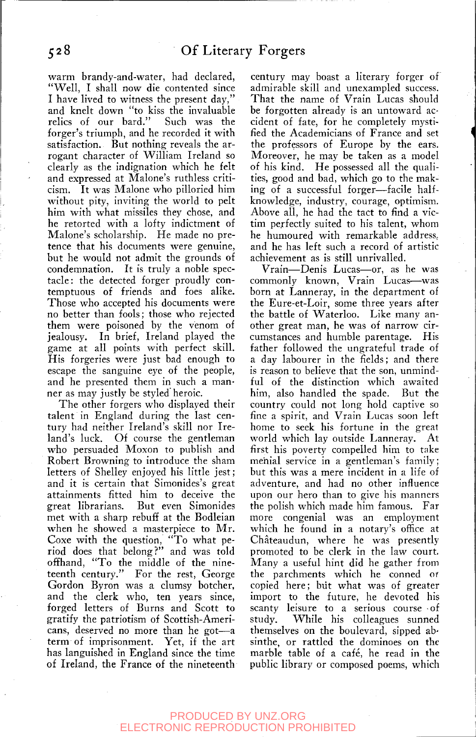warm brandy-and-water, had declared, "Well, I shall now die contented since I have lived to witness the present day, and knelt down "to kiss the invaluable<br>relics of our bard." Such was the relics of our bard." forger's triumph, and he recorded it with satisfaction. But nothing reveals the arrogant character of William Ireland so clearly as the indignation which he felt and expressed at Malone's ruthless criticism. It was Malone who pilloried him without pity, inviting the world to pelt him with what missiles they chose, and he retorted with a lofty indictment of Malone's scholarship. He made no pretence that his documents were genuine, but he would not admit the grounds of condemnation. It is truly a noble spectacle: the detected forger proudly contemptuous of friends and foes alike. Those who accepted his documents were no better than fools; those who rejected them were poisoned by the venom of jealousy. In brief, Ireland played the game at all points with perfect skill. His forgeries were just bad enough to escape the sanguine eye of the people, and he presented them in such a manner as may justly be styled heroic.

The other forgers who displayed their talent in England during the last century had neither Ireland's skill nor Ireland's luck. Of course the gentleman who persuaded Moxon to publish and Robert Browning to introduce the sham letters of Shelley enjoyed his little jest; and it is certain that Simonides's great attainments fitted him to deceive the great librarians. But even Simonides met with a sharp rebuff at the Bodleian when he showed a masterpiece to Mr. Coxe with the question, "To what period does that belong?" and was told offhand, "To the middle of the nineteenth century." For the rest, George Gordon Byron was a clumsy botcher, and the clerk who, ten years since, forged letters of Burns and Scott to gratify the patriotism of Scottish-Americans, deserved no more than he got—a term of imprisonment. Yet, if the art has languished in England since the time of Ireland, the France of the nineteenth

century may boast a literary forger of admirable skill and unexampled success. That the name of Vrain Lucas should be forgotten already is an untoward accident of fate, for he completely mystified the Academicians of France and set the professors of Europe by the ears. Moreover, he may be taken as a model of his kind. He possessed all the qualities, good and bad, which go to the making of a successful forger—facile halfknowledge, industry, courage, optimism. Above all, he had the tact to find a victim perfectly suited to his talent, whom he humoured with remarkable address, and he has left such a record of artistic achievement as is still unrivalled.

Vrain—Denis Lucas—or, as he was commonly known, Vrain Lucas—was born at Lanneray, in the department of the Eure-et-Loir, some three years after the battle of Waterloo. Like many another great man, he was of narrow circumstances and humble parentage. His father followed the ungrateful trade of a day labourer in the fields; and there is reason to believe that the son, unmindful of the distinction which awaited him, also handled the spade. But the country could not long hold captive so fine a spirit, and Vrain Lucas soon left home to seek his fortune in the great world which lay outside Lanneray. At first his poverty compelled him to take menial service in a gentleman's family; but this was a mere incident in a life of adventure, and had no other influence upon our hero than to give his manners the polish which made him famous. Far more congenial was an employment which he found in a notary's office at Chateaudun, where he was presently promoted to be clerk in the law court. Many a useful hint did he gather from the parchments which he conned or copied here; biit what was of greater import to the future, he devoted his scanty leisure to a serious course of study. While his colleagues sunned themselves on the boulevard, sipped absinthe, or rattled the dominoes on the marble table of a café, he read in the public library or composed poems, which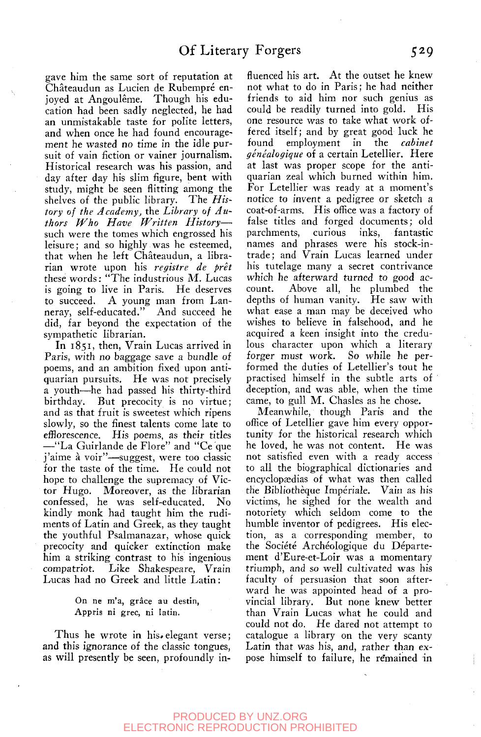gave him the same sort of reputation at Châteaudun as Lucien de Rubempré enjoyed at Angoulême. Though his education had been sadly neglected, he had an unmistakable taste for polite letters, and when once he had found encouragement he wasted no time in the idle pursuit of vain fiction or vainer journalism. Historical research was his passion, and day after day his slim figure, bent with study, might be seen flitting among the shelves of the public library. The *History of the Academy,* the *Library of Authors Who Have Written History* such were the tomes which engrossed his leisure; and so highly was he esteemed, that when he left Chateaudun, a librarian wrote upon his *registre de pret*  these words: "The industrious M. Lucas is going to live in Paris. He deserves to succeed. A young man from Lanneray, self-educated." And succeed he did, far beyond the expectation of the sympathetic librarian.

In 1851, then, Vrain Lucas arrived in Paris, with no baggage save a bundle of poems, and an ambition fixed upon antiquarian pursuits. He was not precisely a youth—he had passed his thirty-third birthday. But precocity is no virtue; and as that fruit is sweetest which ripens slowly, so the finest talents come late to efflorescence. His poems, as their titles —"La Guirlande de Flore" and "Ce que j'aime à voir"—suggest, were too classic for the taste of the time. He could not hope to challenge the supremacy of Victor Hugo. Moreover, as the librarian confessed, he was self-educated. No kindly monk had taught him the rudiments of Latin and Greek, as they taught the youthful Psalmanazar, whose quick precocity and quicker extinction make him a striking contrast to his ingenious compatriot. Like Shakespeare, Vrain Lucas had no Greek and little Latin:

#### On ne m'a, grâce au destin, Appris ni grec, ni latin.

Thus he wrote in his»elegant verse; and this ignorance of the classic tongues, as will presently be seen, profoundly influenced his art. At the outset he knew not what to do in Paris; he had neither friends to aid him nor such genius as could be readily turned into gold. His one resource was to take what work offered itself; and by great good luck he found employment in the *cabinet genealogique* of a certain Letellier. Here at last was proper scope for the antiquarian zeal which burned within him. For Letellier was ready at a moment's notice to invent a pedigree or sketch a coat-of-arms. His office was a factory of false titles and forged documents; old parchments, curious inks, fantastic names and phrases were his stock-intrade ; and Vrain Lucas learned under his tutelage many a secret contrivance which he afterward turned to good account. Above all, he plumbed the depths of human vanity. He saw with what ease a man may be deceived who wishes to believe in falsehood, and he acquired a keen insight into the credulous character upon which a literary forger must work. So while he performed the duties of Letellier's tout he practised himself in the subtle arts of deception, and was able, when the time came, to gull M. Chasles as he chose.

Meanwhile, though Paris and the office of Letellier gave him every opportunity for the historical research which he loved, he was not content. He was not satisfied even with a ready access to all the biographical dictionaries and encyclopædias of what was then called the Bibliotheque Imperiale. Vain as his victims, he sighed for the wealth and notoriety which seldom come to the humble inventor of pedigrees. His election, as a corresponding member, to the Société Archéologique du Département d'Eure-et-Loir was a momentary triumph, and so well cultivated was his faculty of persuasion that soon afterward he was appointed head of a provincial library. But none knew better than Vrain Lucas what he could and could not do. He dared not attempt to catalogue a library on the very scanty Latin that was his, and, rather than expose himself to failure, he remained in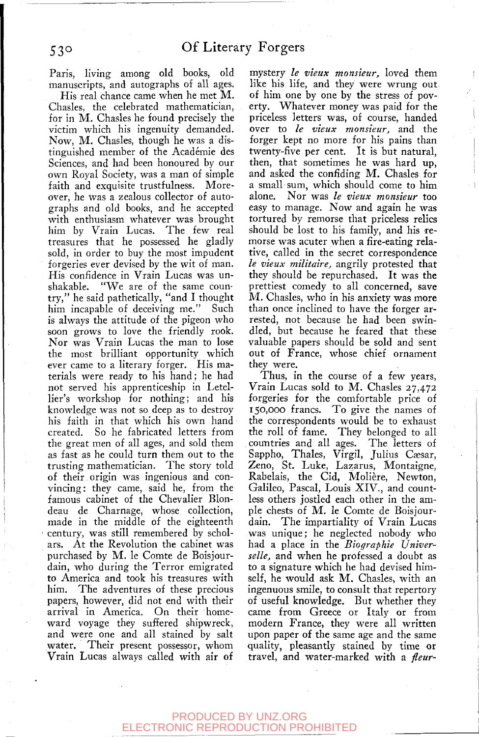Paris, living among old books, old manuscripts, and autographs of all ages.

His real chance came when he met  $M$ . Chasles, the celebrated mathematician, for in  $M$ . Chasles he found precisely the victim which his ingenuity demanded. Now, M. Chasles, though he was a distinguished member of the Academie des Sciences, and had been honoured by our own Royal Society, was a man of simple faith and exquisite trustfulness. Moreover, he was a zealous collector of autographs and old books, and he accepted with enthusiasm whatever was brought him by Vrain Lucas. The few real treasures that he possessed he gladly sold, in order to buy the most impudent forgeries ever devised by the wit of man. His confidence in Vrain Lucas was unshakable. "We are of the same country," he said pathetically, "and I thought him incapable of deceiving me." Such is always the attitude of the pigeon who soon grows to love the friendly rook. Nor was Vrain Lucas the man to lose the most brilliant opportunity which ever came to a literary forger. His materials were ready to his hand; he had not served his apprenticeship in Letellier's workshop for nothing; and his knowledge was not so deep as to destroy his faith in that which his own hand created. So he fabricated letters from the great men of all ages, and sold them as fast as he could turn them out to the trusting mathematician. The story told of their origin was ingenious and convincing: they came, said he, from the famous cabinet of the Chevalier Blondeau de Charnage, whose collection, made in the middle of the eighteenth century, was still remembered by scholars. At the Revolution the cabinet was purchased by M. le Comte de Boisjourdain, who during the Terror emigrated to America and took his treasures with him. The adventures of these precious papers, however, did not end with their arrival in America. On their homeward voyage they suffered shipwreck, and were one and all stained by salt water. Their present possessor, whom Vrain Lucas always called with air of

mystery *le vieux monsieur,* loved them like his life, and they were wrung out of him one by one by the stress of poverty. Whatever money was paid for the priceless letters was, of course, handed over to *le vieux monsieur,* and the forger kept no more for his pains than twenty-five per cent. It is but natural, then, that sometimes he was hard up, and asked the confiding M. Chasles for a small sum, which should come to him alone. Nor was *le vieux monsieur* too easy to manage. Now and again he was tortured by remorse that priceless relics should be lost to his family, and his remorse was acuter when a fire-eating relative, called in the secret correspondence *le vieux militaire,* angrily protested that they should be repurchased. It was the prettiest comedy to all concerned, save M. Chasles, who in his anxiety was more than once inclined to have the forger arrested, not because he had been swindled, but because he feared that these valuable papers should be sold and sent out of France, whose chief ornament they were.

Thus, in the course of a few years, Vrain Lucas sold to M. Chasles  $27,472$ forgeries for the comfortable price of  $150,000$  francs. To give the names of the correspondents would be to exhaust the roll of fame. They belonged to all countries and all ages. The letters of Sappho, Thales, Virgil, Julius Cæsar, Zeno, St. Luke, Lazarus, Montaigne, Rabelais, the Cid, Molière, Newton, Galileo, Pascal, Louis XIV., and countless others jostled each other in the ample chests of M. le Comte de Boisjourdain. The impartiality of Vrain Lucas was unique; he neglected nobody who had a place in the *Biographie Universelle,* and when he professed a doubt as to a signature which he had devised himself, he would ask M. Chasles, with an ingenuous smile, to consult that repertory of useful knowledge. But whether they came from Greece or Italy or from modern France, they were all written upon paper of the same age and the same quality, pleasantly stained by time or travel, and water-marked with a *fleur-*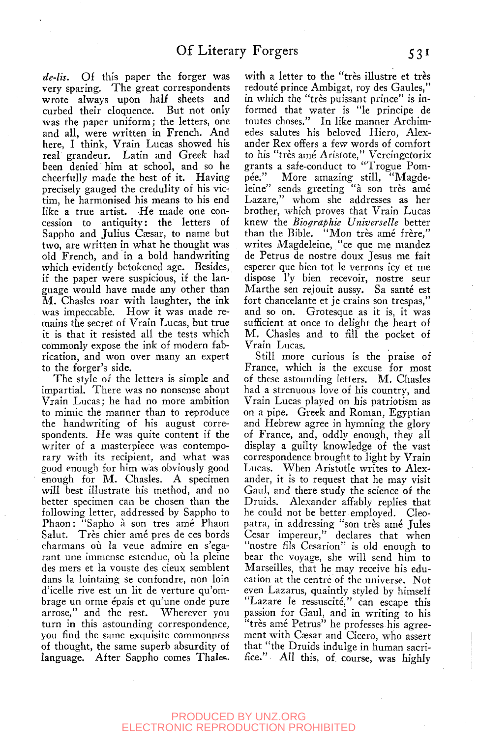*de-lis.* Of this paper the forger was very sparing. The great correspondents wrote always upon half sheets and curbed their eloquence. But not only was the paper uniform; the letters, one and all, were written in French. And here, I think, Vrain Lucas showed his real grandeur. Latin and Greek had been denied him at school, and so he cheerfully made the best of it. Having precisely gauged the credulity of his victim, he harmonised his means to his end like a true artist. He made one concession to antiquity: the letters of Sappho and Julius Cæsar, to name but two, are written in what he thought was old French, and in a bold handwriting which evidently betokened age. Besides, if the paper were suspicious, if the language would have made any other than M. Chasles roar with laughter, the ink was impeccable. How it was made remains the secret of Vrain Lucas, but true it is that it resisted all the tests which commonly expose the ink of modern fabrication, and won over many an expert to the forger's side.

The style of the letters is simple and impartial. There was no nonsense about Vrain Lucas; he had no more ambition to mimic the manner than to reproduce the handwriting of his august correspondents. He was quite content if the writer of a masterpiece was contemporary with its recipient, and what was good enough for him was obviously good enough for  $M$ . Chasles. A specimen will best illustrate his method, and no better specimen can be chosen than the following letter, addressed by Sappho to Phaon: "Sapho à son tres amé Phaon Salut. Très chier amé pres de ces bords charmans ou la veue admire en s'egarant une immense estendue, où la pleine des mers et la vouste des cieux semblent dans la lointaing se confondre, non loin d'icelle rive est un lit de verture qu'ombrage un orme épais et qu'une onde pure arrose," and the rest. Wherever you turn in this astounding correspondence, you find the same exquisite commonness of thought, the same superb absurdity of language. After Sappho comes Thales.

with a letter to the "très illustre et très redouté prince Ambigat, roy des Gaules," in which the "tres puissant prince" is informed that water is "le principe de toutes choses." In like manner Archimedes salutes his beloved Hiero, Alexander Rex offers a few words of comfort to his "tres ame Aristote," Vercingetorix grants a safe-conduct to "Trogue Pompee." More amazing still, "Magdeleine" sends greeting "à son très amé Lazare," whom she addresses as her brother, which proves that Vrain Lucas knew the *Biographie Universelle* better than the Bible. "Mon très amé frère," writes Magdeleine, "ce que me mandez de Petrus de nostre doux Jesus me fait esperer que bien tot le verrons icy et me dispose I'y bien recevoir, nostre seur Marthe sen rejouit aussy. Sa santé est fort chancelante et je crains son trespas," and so on. Grotesque as it is, it was sufficient at once to delight the heart of M. Chasles and to fill the pocket of Vrain Lucas.

Still more curious is the praise of France, which is the excuse for most of these astounding letters. M. Chasles had a strenuous love of his country, and Vrain Lucas played on his patriotism as on a pipe. Greek and Roman, Egyptian and Hebrew agree in hymning the glory of France, and, oddly enough, they all display a guilty knowledge of the vast correspondence brought to light by Vrain Lucas. When Aristotle writes to Alexander, it is to request that he may visit Gaul, and there study the science of the Druids. Alexander affably replies that he could not be better employed. Cleopatra, in addressing "son tres ame Jules Cesar impereur," declares that when "nostre fils Cesarion" is old enough to bear the voyage, she will send him to Marseilles, that he may receive his education at the centre of the universe. Not even Lazarus, quaintly styled by himself "Lazare le ressuscité," can escape this passion for Gaul, and in writing to his "tres ame Petrus" he professes his agreement with Cæsar and Cicero, who assert that "the Druids indulge in human sacrifice." All this, of course, was highly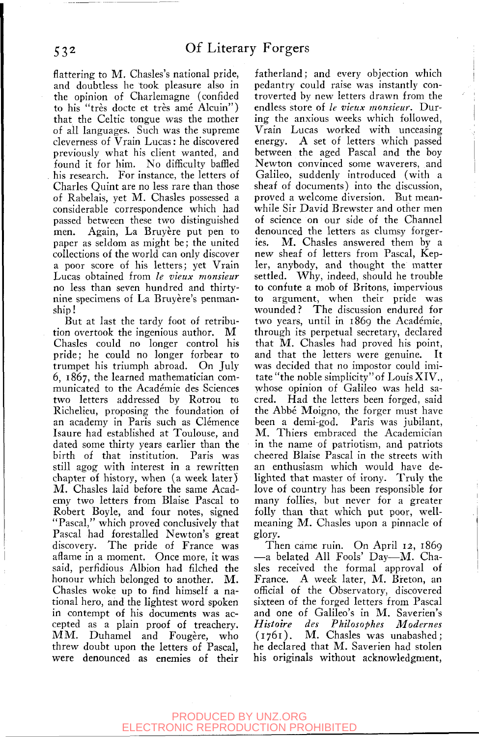flattering to M. Chasles's national pride, and doubtless he took pleasure also in the opinion of Charlemagne (confided to his "très docte et très amé Alcuin") that the Celtic tongue was the mother of all languages. Such was the supreme cleverness of Vrain Lucas: he discovered previously what his client wanted, and found it for him. No difficulty baffled his research. For instance, the letters of Charles Quint are no less rare than those of Rabelais, yet M. Chasles possessed a considerable correspondence which had passed between these two distinguished men. Again, La Bruyère put pen to paper as seldom as might be; the united collections of the world can only discover a poor score of his letters; yet Vrain Lucas obtained from *le vieux monsieur*  no less than seven hundred and thirtynine specimens of La Bruyère's penmanship !

But at last the tardy foot of retribution overtook the ingenious author. M Chasles could no longer control his pride; he could no longer forbear to trumpet his triumph abroad. On July 6, 1867, the learned mathematician communicated to the Academic des Sciences two letters addressed by Rotrou to Richelieu, proposing the foundation of an academy in Paris such as Clémence Isaure had established at Toulouse, and dated some thirty years earlier than the birth of that institution. Paris was still agog with interest in a rewritten chapter of history, when (a week later) M. Chasles laid before the same Academy two letters from Blaise Pascal to Robert Boyle, and four notes, signed "Pascal," which proved conclusively that Pascal had forestalled Newton's great discovery. The pride of France was aflame in a moment. Once more, it was said, perfidious Albion had filched the honour which belonged to another. M. Chasles woke up to find himself a national hero, and the lightest word spoken in contempt of his documents was accepted as a plain proof of treachery. MM. Duhamel and Fougere, who threw doubt upon the letters of Pascal, were denounced as enemies of their

fatherland; and every objection which pedantry could raise was instantly controverted by new letters drawn from the endless store of *le vieux monsieur.* During the anxious weeks which followed, Vrain Lucas worked with unceasing energy. A set of letters which passed between the aged Pascal and the boy Newton convinced some waverers, and Galileo, suddenly introduced (with a sheaf of documents) into the discussion, proved a welcome diversion. Rut meanwhile Sir David Brewster and other men of science on our side of the Channel denounced the letters as clumsy forgeries. M. Chasles answered them by a new sheaf of letters from Pascal, Kepler, anybody, and thought the matter settled. Why, indeed, should he trouble to confute a mob of Britons, impervious to argument, when their pride was wounded? The discussion endured for two years, until in 1869 the Academie, through its perpetual secretary, declared that  $\overline{M}$ . Chasles had proved his point, and that the letters were genuine. It was decided that no impostor could imitate "the noble simplicity"of LouisXIV., whose opinion of Galileo was held sacred. Had the letters been forged, said the Abbé Moigno, the forger must have been a demi-god. Paris was jubilant, M. Thiers embraced the Academician in the name of patriotism, and patriots cheered Blaise Pascal in the streets with an enthusiasm which would have delighted that master of irony. Truly the love of country has been responsible for many follies, but never for a greater folly than that which put poor, wellmeaning M. Chasles upon a pinnacle of glory.

Then came ruin. On April 12, 1869 —a belated All Fools' Day—M. Chasles received the formal approval of France. A week later, M. Breton, an official of the Observatory, discovered sixteen of the forged letters from Pascal and one of Galileo's in M. Saverien's *Histoire des Philosophes Modernes*  (1761). M. Chasles was unabashed; he declared that M. Saverien had stolen his originals without acknowledgment,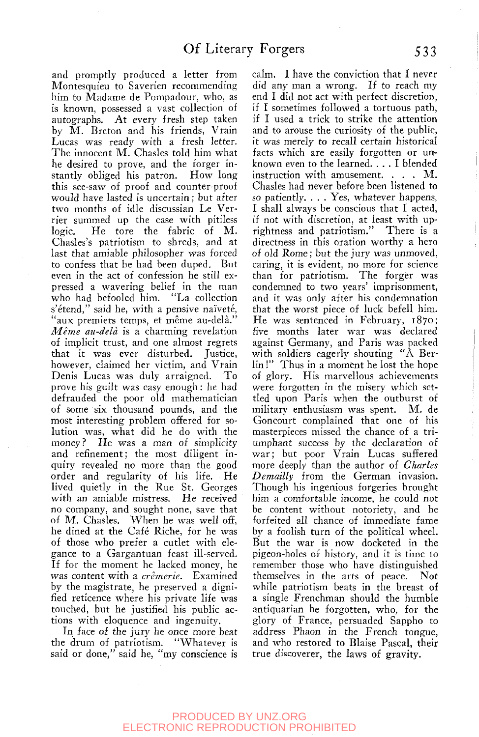and promptly produced a letter from Montesquieu to Saverien recommending him to Madame de Pompadour, who, as is known, possessed a vast collection of autographs. At every fresh step taken by M. Breton and his friends, Vrain Lucas was ready with a fresh letter. The innocent M. Chasles told him what he desired to prove, and the forger instantly obliged his patron. How long this see-saw of proof and counter-proof would have lasted is uncertain; but after two months of idle discussian Le Verrier summed up the case with pitiless logic. He tore the fabric of M. Chasles's patriotism to shreds, and at last that amiable philosopher was forced to confess that he had been duped. But even in the act of confession he still expressed a wavering belief in the man who had befooled him. "La collection who had befooled him. s'étend," said he, with a pensive naïveté, "aux premiers temps, et même au-delà." *Meme au-dela* is a charming revelation of implicit trust, and one almost regrets that it was ever disturbed. Justice, however, claimed her victim, and Vrain Denis Lucas was duly arraigned. To prove his guilt was easy enough: he had defrauded the poor old mathematician of some six thousand pounds, and the most interesting problem offered for solution was, what did he do with the money? He was a man of simplicity and refinement; the most diligent inquiry revealed no more than the good order and regularity of his life. He lived quietly in the Rue St. Georges with an amiable mistress. He received no company, and sought none, save that of M. Chasles. When he was well off, he dined at the Cafe Riche, for he was of those who prefer a cutlet with elegance to a Gargantuan feast ill-served. If for the moment he lacked money, he was content with a *cremerie.* Examined by the magistrate, he preserved a dignified reticence where his private life was touched, but he justified his public actions with eloquence and ingenuity.

In face of the jury he once more beat the drum of patriotism. "Whatever is said or done," said he, "my conscience is calm. I have the conviction that I never did any man a wrong. If to reach my end I did not act with perfect discretion, if I sometimes followed a tortuous path, if I used a trick to strike the attention and to arouse the curiosity of the public, it was merely to recall certain historical facts which are easily forgotten or unknown even to the learned. .. . I blended instruction with amusement. . . . M. Chasles had never before been listened to so patiently. . . . Yes, whatever happens, I shall always be conscious that I acted, if not with discretion, at least with uprightness and patriotism." There is a directness in this oration worthy a hero of old Rome; but the jury was unmoved, caring, it is evident, no more for science than for patriotism. The forger was condemned to two years' imprisonment, and it was only after his condemnation that the worst piece of luck befell him. He was sentenced in February, 1870; five months later war was declared against Germany, and Paris was packed with soldiers eagerly shouting "A Berlin !" Thus in a moment he lost the hope of glory. His marvellous achievements were forgotten in the misery which settled upon Paris when the outburst of military enthusiasm was spent. M. de Goncourt complained that one of his masterpieces missed the chance of a triumphant success by the declaration of war; but poor Vrain Lucas suffered more deeply than the author of *Charles Demailly* from the German invasion. Though his ingenious forgeries brought him a comfortable income, he could not be content without notoriety, and he forfeited all chance of immediate fame by a foolish turn of the political wheel. But the war is now docketed in the pigeon-holes of history, and it is time to remember those who have distinguished themselves in the arts of peace. Not while patriotism beats in the breast of a single Frenchman should the humble antiquarian be forgotten, who, for the glory of France, persuaded Sappho to address Phaon in the French tongue, and who restored to Blaise Pascal, their true discoverer, the laws of gravity.